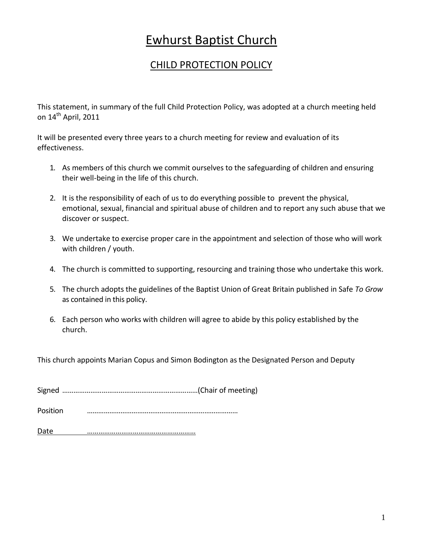# Ewhurst Baptist Church

## CHILD PROTECTION POLICY

This statement, in summary of the full Child Protection Policy, was adopted at a church meeting held on  $14<sup>th</sup>$  April, 2011

It will be presented every three years to a church meeting for review and evaluation of its effectiveness.

- 1. As members of this church we commit ourselves to the safeguarding of children and ensuring their well-being in the life of this church.
- 2. It is the responsibility of each of us to do everything possible to prevent the physical, emotional, sexual, financial and spiritual abuse of children and to report any such abuse that we discover or suspect.
- 3. We undertake to exercise proper care in the appointment and selection of those who will work with children / youth.
- 4. The church is committed to supporting, resourcing and training those who undertake this work.
- 5. The church adopts the guidelines of the Baptist Union of Great Britain published in Safe *To Grow* as contained in this policy.
- 6. Each person who works with children will agree to abide by this policy established by the church.

This church appoints Marian Copus and Simon Bodington as the Designated Person and Deputy

Signed ………………………………………………………………(Chair of meeting)

Position ………………………………………………………………………

Date <u>…………………………………………</u>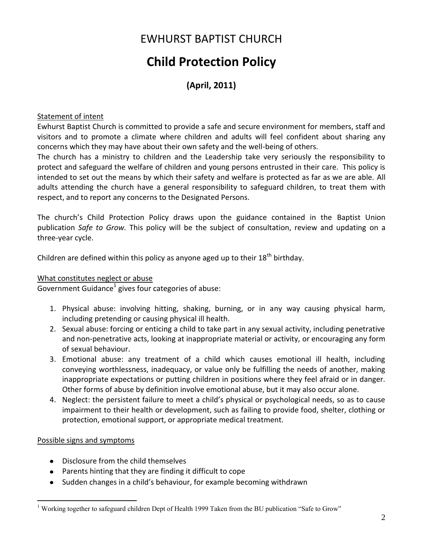## EWHURST BAPTIST CHURCH

# **Child Protection Policy**

## **(April, 2011)**

#### Statement of intent

Ewhurst Baptist Church is committed to provide a safe and secure environment for members, staff and visitors and to promote a climate where children and adults will feel confident about sharing any concerns which they may have about their own safety and the well-being of others.

The church has a ministry to children and the Leadership take very seriously the responsibility to protect and safeguard the welfare of children and young persons entrusted in their care. This policy is intended to set out the means by which their safety and welfare is protected as far as we are able. All adults attending the church have a general responsibility to safeguard children, to treat them with respect, and to report any concerns to the Designated Persons.

The church's Child Protection Policy draws upon the guidance contained in the Baptist Union publication *Safe to Grow.* This policy will be the subject of consultation, review and updating on a three-year cycle.

Children are defined within this policy as anyone aged up to their  $18<sup>th</sup>$  birthday.

#### What constitutes neglect or abuse

Government Guidance<sup>1</sup> gives four categories of abuse:

- 1. Physical abuse: involving hitting, shaking, burning, or in any way causing physical harm, including pretending or causing physical ill health.
- 2. Sexual abuse: forcing or enticing a child to take part in any sexual activity, including penetrative and non-penetrative acts, looking at inappropriate material or activity, or encouraging any form of sexual behaviour.
- 3. Emotional abuse: any treatment of a child which causes emotional ill health, including conveying worthlessness, inadequacy, or value only be fulfilling the needs of another, making inappropriate expectations or putting children in positions where they feel afraid or in danger. Other forms of abuse by definition involve emotional abuse, but it may also occur alone.
- 4. Neglect: the persistent failure to meet a child's physical or psychological needs, so as to cause impairment to their health or development, such as failing to provide food, shelter, clothing or protection, emotional support, or appropriate medical treatment.

#### Possible signs and symptoms

 $\overline{a}$ 

- Disclosure from the child themselves
- Parents hinting that they are finding it difficult to cope
- Sudden changes in a child's behaviour, for example becoming withdrawn

<sup>&</sup>lt;sup>1</sup> Working together to safeguard children Dept of Health 1999 Taken from the BU publication "Safe to Grow"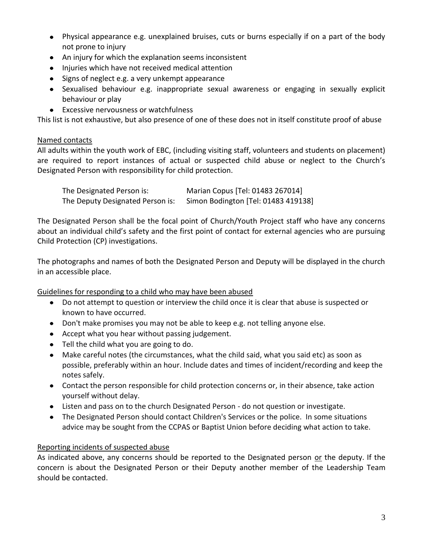- Physical appearance e.g. unexplained bruises, cuts or burns especially if on a part of the body not prone to injury
- An injury for which the explanation seems inconsistent
- Injuries which have not received medical attention
- Signs of neglect e.g. a very unkempt appearance
- Sexualised behaviour e.g. inappropriate sexual awareness or engaging in sexually explicit behaviour or play
- Excessive nervousness or watchfulness

This list is not exhaustive, but also presence of one of these does not in itself constitute proof of abuse

#### Named contacts

All adults within the youth work of EBC, (including visiting staff, volunteers and students on placement) are required to report instances of actual or suspected child abuse or neglect to the Church's Designated Person with responsibility for child protection.

| The Designated Person is:        | Marian Copus [Tel: 01483 267014]    |
|----------------------------------|-------------------------------------|
| The Deputy Designated Person is: | Simon Bodington [Tel: 01483 419138] |

The Designated Person shall be the focal point of Church/Youth Project staff who have any concerns about an individual child's safety and the first point of contact for external agencies who are pursuing Child Protection (CP) investigations.

The photographs and names of both the Designated Person and Deputy will be displayed in the church in an accessible place.

Guidelines for responding to a child who may have been abused

- Do not attempt to question or interview the child once it is clear that abuse is suspected or known to have occurred.
- Don't make promises you may not be able to keep e.g. not telling anyone else.
- Accept what you hear without passing judgement.
- Tell the child what you are going to do.
- Make careful notes (the circumstances, what the child said, what you said etc) as soon as possible, preferably within an hour. Include dates and times of incident/recording and keep the notes safely.
- Contact the person responsible for child protection concerns or, in their absence, take action yourself without delay.
- Listen and pass on to the church Designated Person do not question or investigate.
- The Designated Person should contact Children's Services or the police. In some situations advice may be sought from the CCPAS or Baptist Union before deciding what action to take.

#### Reporting incidents of suspected abuse

As indicated above, any concerns should be reported to the Designated person or the deputy. If the concern is about the Designated Person or their Deputy another member of the Leadership Team should be contacted.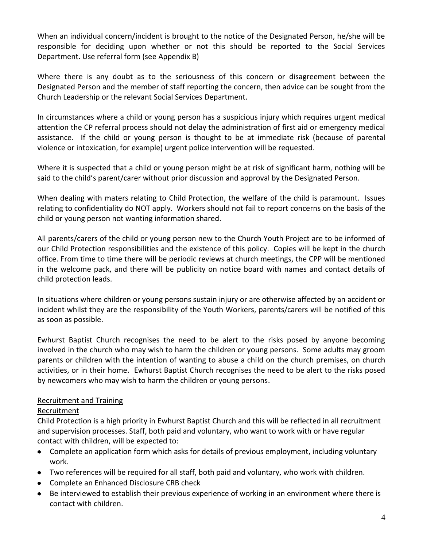When an individual concern/incident is brought to the notice of the Designated Person, he/she will be responsible for deciding upon whether or not this should be reported to the Social Services Department. Use referral form (see Appendix B)

Where there is any doubt as to the seriousness of this concern or disagreement between the Designated Person and the member of staff reporting the concern, then advice can be sought from the Church Leadership or the relevant Social Services Department.

In circumstances where a child or young person has a suspicious injury which requires urgent medical attention the CP referral process should not delay the administration of first aid or emergency medical assistance. If the child or young person is thought to be at immediate risk (because of parental violence or intoxication, for example) urgent police intervention will be requested.

Where it is suspected that a child or young person might be at risk of significant harm, nothing will be said to the child's parent/carer without prior discussion and approval by the Designated Person.

When dealing with maters relating to Child Protection, the welfare of the child is paramount. Issues relating to confidentiality do NOT apply. Workers should not fail to report concerns on the basis of the child or young person not wanting information shared.

All parents/carers of the child or young person new to the Church Youth Project are to be informed of our Child Protection responsibilities and the existence of this policy. Copies will be kept in the church office. From time to time there will be periodic reviews at church meetings, the CPP will be mentioned in the welcome pack, and there will be publicity on notice board with names and contact details of child protection leads.

In situations where children or young persons sustain injury or are otherwise affected by an accident or incident whilst they are the responsibility of the Youth Workers, parents/carers will be notified of this as soon as possible.

Ewhurst Baptist Church recognises the need to be alert to the risks posed by anyone becoming involved in the church who may wish to harm the children or young persons. Some adults may groom parents or children with the intention of wanting to abuse a child on the church premises, on church activities, or in their home. Ewhurst Baptist Church recognises the need to be alert to the risks posed by newcomers who may wish to harm the children or young persons.

## Recruitment and Training

#### Recruitment

Child Protection is a high priority in Ewhurst Baptist Church and this will be reflected in all recruitment and supervision processes. Staff, both paid and voluntary, who want to work with or have regular contact with children, will be expected to:

- Complete an application form which asks for details of previous employment, including voluntary work.
- Two references will be required for all staff, both paid and voluntary, who work with children.
- **Complete an Enhanced Disclosure CRB check**
- Be interviewed to establish their previous experience of working in an environment where there is contact with children.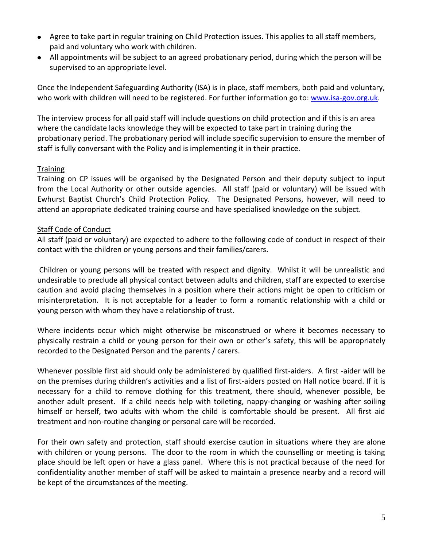- Agree to take part in regular training on Child Protection issues. This applies to all staff members, paid and voluntary who work with children.
- All appointments will be subject to an agreed probationary period, during which the person will be supervised to an appropriate level.

Once the Independent Safeguarding Authority (ISA) is in place, staff members, both paid and voluntary, who work with children will need to be registered. For further information go to: [www.isa-gov.org.uk.](../../../../../jkendall/Local%20Settings/Temporary%20Internet%20Files/OLK617/www.isa-gov.org.uk)

The interview process for all paid staff will include questions on child protection and if this is an area where the candidate lacks knowledge they will be expected to take part in training during the probationary period. The probationary period will include specific supervision to ensure the member of staff is fully conversant with the Policy and is implementing it in their practice.

#### **Training**

Training on CP issues will be organised by the Designated Person and their deputy subject to input from the Local Authority or other outside agencies. All staff (paid or voluntary) will be issued with Ewhurst Baptist Church's Child Protection Policy. The Designated Persons, however, will need to attend an appropriate dedicated training course and have specialised knowledge on the subject.

#### Staff Code of Conduct

All staff (paid or voluntary) are expected to adhere to the following code of conduct in respect of their contact with the children or young persons and their families/carers.

Children or young persons will be treated with respect and dignity. Whilst it will be unrealistic and undesirable to preclude all physical contact between adults and children, staff are expected to exercise caution and avoid placing themselves in a position where their actions might be open to criticism or misinterpretation. It is not acceptable for a leader to form a romantic relationship with a child or young person with whom they have a relationship of trust.

Where incidents occur which might otherwise be misconstrued or where it becomes necessary to physically restrain a child or young person for their own or other's safety, this will be appropriately recorded to the Designated Person and the parents / carers.

Whenever possible first aid should only be administered by qualified first-aiders. A first -aider will be on the premises during children's activities and a list of first-aiders posted on Hall notice board. If it is necessary for a child to remove clothing for this treatment, there should, whenever possible, be another adult present. If a child needs help with toileting, nappy-changing or washing after soiling himself or herself, two adults with whom the child is comfortable should be present. All first aid treatment and non-routine changing or personal care will be recorded.

For their own safety and protection, staff should exercise caution in situations where they are alone with children or young persons. The door to the room in which the counselling or meeting is taking place should be left open or have a glass panel. Where this is not practical because of the need for confidentiality another member of staff will be asked to maintain a presence nearby and a record will be kept of the circumstances of the meeting.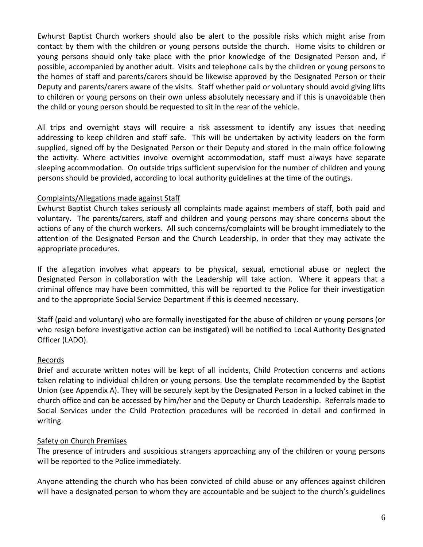Ewhurst Baptist Church workers should also be alert to the possible risks which might arise from contact by them with the children or young persons outside the church. Home visits to children or young persons should only take place with the prior knowledge of the Designated Person and, if possible, accompanied by another adult. Visits and telephone calls by the children or young persons to the homes of staff and parents/carers should be likewise approved by the Designated Person or their Deputy and parents/carers aware of the visits. Staff whether paid or voluntary should avoid giving lifts to children or young persons on their own unless absolutely necessary and if this is unavoidable then the child or young person should be requested to sit in the rear of the vehicle.

All trips and overnight stays will require a risk assessment to identify any issues that needing addressing to keep children and staff safe. This will be undertaken by activity leaders on the form supplied, signed off by the Designated Person or their Deputy and stored in the main office following the activity. Where activities involve overnight accommodation, staff must always have separate sleeping accommodation. On outside trips sufficient supervision for the number of children and young persons should be provided, according to local authority guidelines at the time of the outings.

#### Complaints/Allegations made against Staff

Ewhurst Baptist Church takes seriously all complaints made against members of staff, both paid and voluntary. The parents/carers, staff and children and young persons may share concerns about the actions of any of the church workers. All such concerns/complaints will be brought immediately to the attention of the Designated Person and the Church Leadership, in order that they may activate the appropriate procedures.

If the allegation involves what appears to be physical, sexual, emotional abuse or neglect the Designated Person in collaboration with the Leadership will take action. Where it appears that a criminal offence may have been committed, this will be reported to the Police for their investigation and to the appropriate Social Service Department if this is deemed necessary.

Staff (paid and voluntary) who are formally investigated for the abuse of children or young persons (or who resign before investigative action can be instigated) will be notified to Local Authority Designated Officer (LADO).

#### Records

Brief and accurate written notes will be kept of all incidents, Child Protection concerns and actions taken relating to individual children or young persons. Use the template recommended by the Baptist Union (see Appendix A). They will be securely kept by the Designated Person in a locked cabinet in the church office and can be accessed by him/her and the Deputy or Church Leadership. Referrals made to Social Services under the Child Protection procedures will be recorded in detail and confirmed in writing.

#### Safety on Church Premises

The presence of intruders and suspicious strangers approaching any of the children or young persons will be reported to the Police immediately.

Anyone attending the church who has been convicted of child abuse or any offences against children will have a designated person to whom they are accountable and be subject to the church's guidelines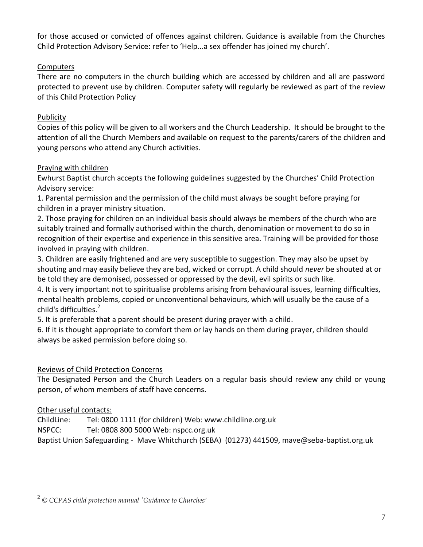for those accused or convicted of offences against children. Guidance is available from the Churches Child Protection Advisory Service: refer to 'Help...a sex offender has joined my church'.

## **Computers**

There are no computers in the church building which are accessed by children and all are password protected to prevent use by children. Computer safety will regularly be reviewed as part of the review of this Child Protection Policy

## **Publicity**

Copies of this policy will be given to all workers and the Church Leadership. It should be brought to the attention of all the Church Members and available on request to the parents/carers of the children and young persons who attend any Church activities.

## Praying with children

Ewhurst Baptist church accepts the following guidelines suggested by the Churches' Child Protection Advisory service:

1. Parental permission and the permission of the child must always be sought before praying for children in a prayer ministry situation.

2. Those praying for children on an individual basis should always be members of the church who are suitably trained and formally authorised within the church, denomination or movement to do so in recognition of their expertise and experience in this sensitive area. Training will be provided for those involved in praying with children.

3. Children are easily frightened and are very susceptible to suggestion. They may also be upset by shouting and may easily believe they are bad, wicked or corrupt. A child should *never* be shouted at or be told they are demonised, possessed or oppressed by the devil, evil spirits or such like.

4. It is very important not to spiritualise problems arising from behavioural issues, learning difficulties, mental health problems, copied or unconventional behaviours, which will usually be the cause of a child's difficulties.<sup>2</sup>

5. It is preferable that a parent should be present during prayer with a child.

6. If it is thought appropriate to comfort them or lay hands on them during prayer, children should always be asked permission before doing so.

## Reviews of Child Protection Concerns

The Designated Person and the Church Leaders on a regular basis should review any child or young person, of whom members of staff have concerns.

## Other useful contacts:

 $\overline{a}$ 

ChildLine: Tel: 0800 1111 (for children) Web: www.childline.org.uk

NSPCC: Tel: 0808 800 5000 Web: nspcc.org.uk

Baptist Union Safeguarding - Mave Whitchurch (SEBA) (01273) 441509, mave@seba-baptist.org.uk

<sup>2</sup> *© CCPAS child protection manual 'Guidance to Churches'*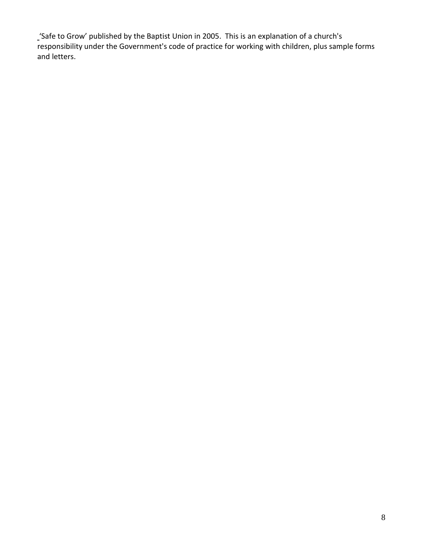'Safe to Grow' published by the Baptist Union in 2005. This is an explanation of a church's responsibility under the Government's code of practice for working with children, plus sample forms and letters.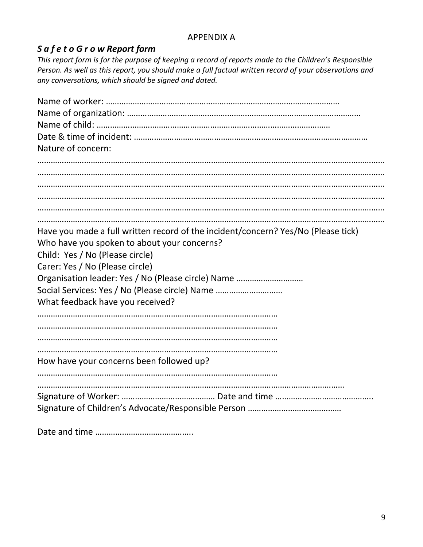## APPENDIX A

## *S a f e t o G r o w Report form*

*This report form is for the purpose of keeping a record of reports made to the Children's Responsible Person. As well as this report, you should make a full factual written record of your observations and any conversations, which should be signed and dated.*

| Nature of concern:                                                                |
|-----------------------------------------------------------------------------------|
|                                                                                   |
|                                                                                   |
|                                                                                   |
|                                                                                   |
|                                                                                   |
|                                                                                   |
|                                                                                   |
|                                                                                   |
|                                                                                   |
|                                                                                   |
| Have you made a full written record of the incident/concern? Yes/No (Please tick) |
| Who have you spoken to about your concerns?                                       |
| Child: Yes / No (Please circle)                                                   |
| Carer: Yes / No (Please circle)                                                   |
| Organisation leader: Yes / No (Please circle) Name                                |
| Social Services: Yes / No (Please circle) Name                                    |
| What feedback have you received?                                                  |
|                                                                                   |
|                                                                                   |
|                                                                                   |
|                                                                                   |
| How have your concerns been followed up?                                          |
|                                                                                   |
|                                                                                   |
|                                                                                   |
|                                                                                   |
|                                                                                   |

Date and time ……………………………………..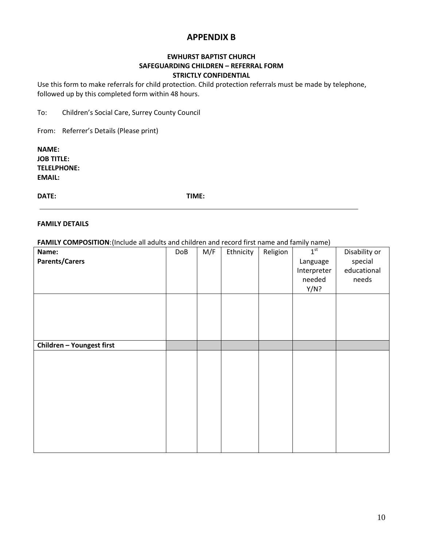## **APPENDIX B**

#### **EWHURST BAPTIST CHURCH SAFEGUARDING CHILDREN – REFERRAL FORM STRICTLY CONFIDENTIAL**

Use this form to make referrals for child protection. Child protection referrals must be made by telephone, followed up by this completed form within 48 hours.

To: Children's Social Care, Surrey County Council

From: Referrer's Details (Please print)

**NAME: JOB TITLE: TELELPHONE: EMAIL:**

**DATE: TIME:** 

#### **FAMILY DETAILS**

**FAMILY COMPOSITION**:(Include all adults and children and record first name and family name)

| Name:                     | DoB | M/F | Ethnicity | Religion | 1 <sup>st</sup> | Disability or |
|---------------------------|-----|-----|-----------|----------|-----------------|---------------|
| <b>Parents/Carers</b>     |     |     |           |          | Language        | special       |
|                           |     |     |           |          | Interpreter     | educational   |
|                           |     |     |           |          | needed          | needs         |
|                           |     |     |           |          | Y/N?            |               |
|                           |     |     |           |          |                 |               |
|                           |     |     |           |          |                 |               |
|                           |     |     |           |          |                 |               |
|                           |     |     |           |          |                 |               |
|                           |     |     |           |          |                 |               |
| Children - Youngest first |     |     |           |          |                 |               |
|                           |     |     |           |          |                 |               |
|                           |     |     |           |          |                 |               |
|                           |     |     |           |          |                 |               |
|                           |     |     |           |          |                 |               |
|                           |     |     |           |          |                 |               |
|                           |     |     |           |          |                 |               |
|                           |     |     |           |          |                 |               |
|                           |     |     |           |          |                 |               |
|                           |     |     |           |          |                 |               |
|                           |     |     |           |          |                 |               |
|                           |     |     |           |          |                 |               |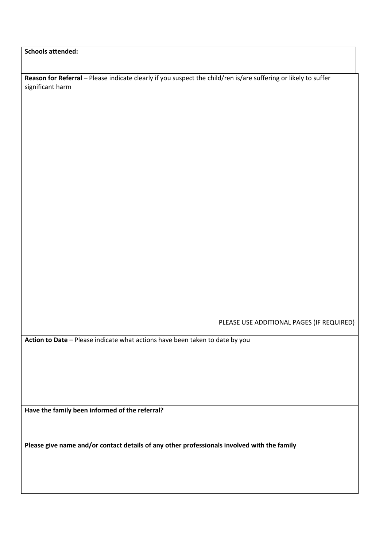**Schools attended:**

**Reason for Referral** – Please indicate clearly if you suspect the child/ren is/are suffering or likely to suffer significant harm

PLEASE USE ADDITIONAL PAGES (IF REQUIRED)

**Action to Date** – Please indicate what actions have been taken to date by you

**Have the family been informed of the referral?**

**Please give name and/or contact details of any other professionals involved with the family**